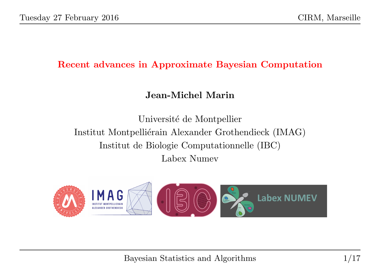#### Recent advances in Approximate Bayesian Computation

# Jean-Michel Marin

Université de Montpellier Institut Montpelliérain Alexander Grothendieck (IMAG) Institut de Biologie Computationnelle (IBC) Labex Numev

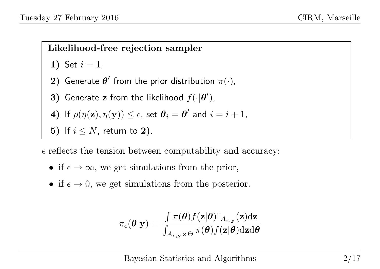# Likelihood-free rejection sampler

1) Set 
$$
i = 1
$$
,

- 2) Generate  $\boldsymbol{\theta}'$  from the prior distribution  $\pi(\cdot),$
- 3) Generate z from the likelihood  $f(\cdot|\boldsymbol{\theta}')$ ,

4) If 
$$
\rho(\eta(\mathbf{z}), \eta(\mathbf{y})) \le \epsilon
$$
, set  $\theta_i = \theta'$  and  $i = i + 1$ ,

5) If  $i \leq N$ , return to 2).

 $\epsilon$  reflects the tension between computability and accuracy:

- if  $\epsilon \to \infty$ , we get simulations from the prior,
- if  $\epsilon \to 0$ , we get simulations from the posterior.

$$
\pi_{\epsilon}(\boldsymbol{\theta}|\mathbf{y}) = \frac{\int \pi(\boldsymbol{\theta}) f(\mathbf{z}|\boldsymbol{\theta}) \mathbb{I}_{A_{\epsilon,\mathbf{y}}}(\mathbf{z}) \mathrm{d}\mathbf{z}}{\int_{A_{\epsilon,\mathbf{y}} \times \Theta} \pi(\boldsymbol{\theta}) f(\mathbf{z}|\boldsymbol{\theta}) \mathrm{d}\mathbf{z} \mathrm{d}\boldsymbol{\theta}}
$$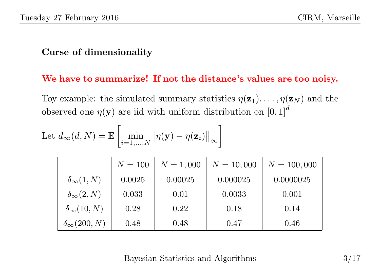#### Curse of dimensionality

#### We have to summarize! If not the distance's values are too noisy.

Toy example: the simulated summary statistics  $\eta(\mathbf{z}_1), \ldots, \eta(\mathbf{z}_N)$  and the observed one  $\eta(\mathbf{y})$  are iid with uniform distribution on  $[0, 1]^d$ 

Let 
$$
d_{\infty}(d, N) = \mathbb{E}\left[\min_{i=1,\dots,N} ||\eta(\mathbf{y}) - \eta(\mathbf{z}_i)||_{\infty}\right]
$$

|                           | $N = 100$ | $N = 1,000$ | $N = 10,000$ | $N = 100,000$ |
|---------------------------|-----------|-------------|--------------|---------------|
| $\delta_{\infty}(1,N)$    | 0.0025    | 0.00025     | 0.000025     | 0.0000025     |
| $\delta_{\infty}(2,N)$    | 0.033     | 0.01        | 0.0033       | 0.001         |
| $\delta_{\infty}(10,N)$   | 0.28      | 0.22        | 0.18         | 0.14          |
| $\delta_{\infty}(200, N)$ | 0.48      | 0.48        | 0.47         | 0.46          |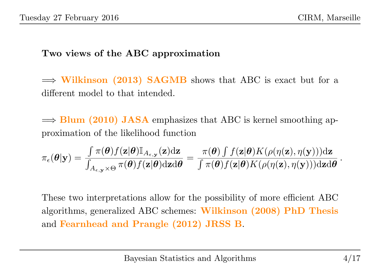### Two views of the ABC approximation

 $\Rightarrow$  Wilkinson (2013) SAGMB shows that ABC is exact but for a different model to that intended.

 $\Rightarrow$  Blum (2010) JASA emphasizes that ABC is kernel smoothing approximation of the likelihood function

$$
\pi_{\epsilon}(\boldsymbol{\theta}|\mathbf{y}) = \frac{\int \pi(\boldsymbol{\theta}) f(\mathbf{z}|\boldsymbol{\theta}) \mathbb{I}_{A_{\epsilon,\mathbf{y}}}(\mathbf{z}) \mathrm{d}\mathbf{z}}{\int_{A_{\epsilon,\mathbf{y}} \times \Theta} \pi(\boldsymbol{\theta}) f(\mathbf{z}|\boldsymbol{\theta}) \mathrm{d}\mathbf{z} \mathrm{d}\boldsymbol{\theta}} = \frac{\pi(\boldsymbol{\theta}) \int f(\mathbf{z}|\boldsymbol{\theta}) K(\rho(\eta(\mathbf{z}), \eta(\mathbf{y}))) \mathrm{d}\mathbf{z}}{\int \pi(\boldsymbol{\theta}) f(\mathbf{z}|\boldsymbol{\theta}) K(\rho(\eta(\mathbf{z}), \eta(\mathbf{y}))) \mathrm{d}\mathbf{z} \mathrm{d}\boldsymbol{\theta}}
$$

These two interpretations allow for the possibility of more efficient ABC algorithms, generalized ABC schemes: Wilkinson (2008) PhD Thesis and Fearnhead and Prangle (2012) JRSS B.

.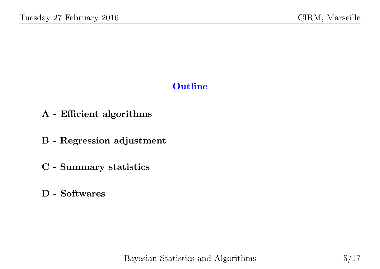# **Outline**

- A Efficient algorithms
- B Regression adjustment
- C Summary statistics
- D Softwares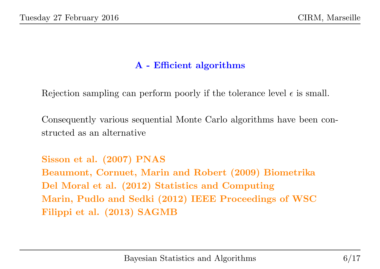# A - Efficient algorithms

Rejection sampling can perform poorly if the tolerance level  $\epsilon$  is small.

Consequently various sequential Monte Carlo algorithms have been constructed as an alternative

Sisson et al. (2007) PNAS Beaumont, Cornuet, Marin and Robert (2009) Biometrika Del Moral et al. (2012) Statistics and Computing Marin, Pudlo and Sedki (2012) IEEE Proceedings of WSC Filippi et al. (2013) SAGMB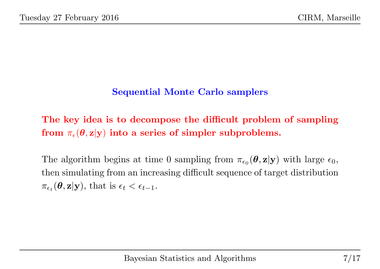### Sequential Monte Carlo samplers

The key idea is to decompose the difficult problem of sampling from  $\pi_{\epsilon}(\theta, \mathbf{z}|\mathbf{y})$  into a series of simpler subproblems.

The algorithm begins at time 0 sampling from  $\pi_{\epsilon_0}(\theta, \mathbf{z}|\mathbf{y})$  with large  $\epsilon_0$ , then simulating from an increasing difficult sequence of target distribution  $\pi_{\epsilon_t}(\boldsymbol{\theta}, \mathbf{z}|\mathbf{y}), \text{ that is } \epsilon_t < \epsilon_{t-1}.$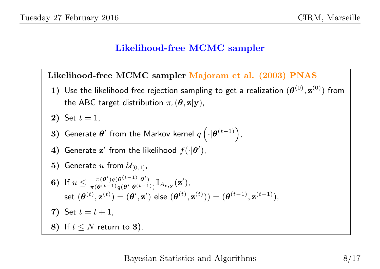#### Likelihood-free MCMC sampler

Likelihood-free MCMC sampler Majoram et al. (2003) PNAS

 $\bf 1)$  Use the likelihood free rejection sampling to get a realization  $(\bm{\theta}^{(0)},\mathbf{z}^{(0)})$  from the ABC target distribution  $\pi_{\epsilon}(\theta, \mathbf{z}|\mathbf{y})$ ,

**2**) Set 
$$
t = 1
$$
,

- 3) Generate  $\boldsymbol{\theta}'$  from the Markov kernel  $q\left(\cdot|\boldsymbol{\theta}^{(t-1)}\right)$ ,
- 4) Generate  $\mathbf{z}'$  from the likelihood  $f(\cdot|\boldsymbol{\theta}')$ ,
- 5) Generate u from  $\mathcal{U}_{[0,1]}$ ,

\n- **6)** If 
$$
u \leq \frac{\pi(\boldsymbol{\theta}')q(\boldsymbol{\theta}^{(t-1)}|\boldsymbol{\theta}')}{\pi(\boldsymbol{\theta}^{(t-1)}q(\boldsymbol{\theta}'|\boldsymbol{\theta}^{(t-1)})}\mathbb{I}_{A_{\epsilon,\mathbf{y}}}(\mathbf{z}'),
$$
 set  $(\boldsymbol{\theta}^{(t)}, \mathbf{z}^{(t)}) = (\boldsymbol{\theta}', \mathbf{z}')$  else  $(\boldsymbol{\theta}^{(t)}, \mathbf{z}^{(t)})) = (\boldsymbol{\theta}^{(t-1)}, \mathbf{z}^{(t-1)}),$
\n- 7) Set  $t = t + 1$ ,
\n- 8) If  $t \leq N$  return to **3**).
\n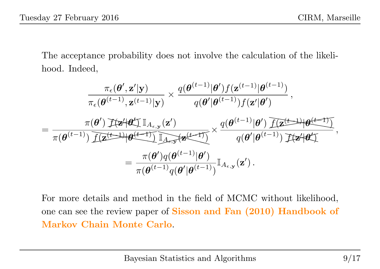The acceptance probability does not involve the calculation of the likelihood. Indeed,

$$
\frac{\pi_{\epsilon}(\boldsymbol{\theta}',\mathbf{z}'|\mathbf{y})}{\pi_{\epsilon}(\boldsymbol{\theta}^{(t-1)},\mathbf{z}^{(t-1)}|\mathbf{y})} \times \frac{q(\boldsymbol{\theta}^{(t-1)}|\boldsymbol{\theta}')f(\mathbf{z}^{(t-1)}|\boldsymbol{\theta}^{(t-1)})}{q(\boldsymbol{\theta}'|\boldsymbol{\theta}^{(t-1)})f(\mathbf{z}'|\boldsymbol{\theta}')} ,
$$
\n
$$
= \frac{\pi(\boldsymbol{\theta}')\mathcal{F}(\mathbf{z}'|\boldsymbol{\theta}'\mathcal{I})\mathbb{I}_{A_{\epsilon,\mathbf{y}}}(\mathbf{z}')}{\pi(\boldsymbol{\theta}^{(t-1)})\mathcal{I}(\mathbf{z}^{(t-1)}|\boldsymbol{\theta}^{(t-1)})\mathbb{I}_{A_{\epsilon,\mathbf{y}}}(\mathbf{z}^{(t-1)})} \times \frac{q(\boldsymbol{\theta}^{(t-1)}|\boldsymbol{\theta}')\mathcal{I}(\mathbf{z}^{(t-1)}|\boldsymbol{\theta}^{(t-1)})}{q(\boldsymbol{\theta}'|\boldsymbol{\theta}^{(t-1)})\mathcal{I}(\mathbf{z}'|\boldsymbol{\theta}')},
$$
\n
$$
= \frac{\pi(\boldsymbol{\theta}')q(\boldsymbol{\theta}^{(t-1)}|\boldsymbol{\theta}')}{\pi(\boldsymbol{\theta}^{(t-1)}q(\boldsymbol{\theta}'|\boldsymbol{\theta}^{(t-1)})}\mathbb{I}_{A_{\epsilon,\mathbf{y}}}(\mathbf{z}').
$$

For more details and method in the field of MCMC without likelihood, one can see the review paper of Sisson and Fan (2010) Handbook of Markov Chain Monte Carlo.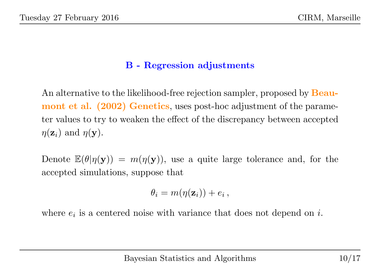# B - Regression adjustments

An alternative to the likelihood-free rejection sampler, proposed by **Beau**mont et al. (2002) Genetics, uses post-hoc adjustment of the parameter values to try to weaken the effect of the discrepancy between accepted  $\eta(\mathbf{z}_i)$  and  $\eta(\mathbf{y})$ .

Denote  $\mathbb{E}(\theta|\eta(\mathbf{y})) = m(\eta(\mathbf{y}))$ , use a quite large tolerance and, for the accepted simulations, suppose that

$$
\theta_i = m(\eta(\mathbf{z}_i)) + e_i ,
$$

where  $e_i$  is a centered noise with variance that does not depend on  $i$ .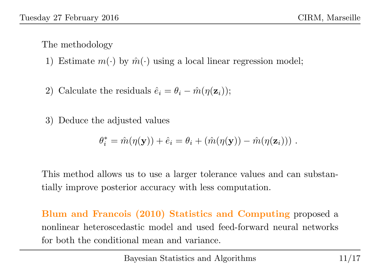The methodology

- 1) Estimate  $m(\cdot)$  by  $\hat{m}(\cdot)$  using a local linear regression model;
- 2) Calculate the residuals  $\hat{e}_i = \theta_i \hat{m}(\eta(\mathbf{z}_i));$

3) Deduce the adjusted values

$$
\theta_i^* = \hat{m}(\eta(\mathbf{y})) + \hat{e}_i = \theta_i + (\hat{m}(\eta(\mathbf{y})) - \hat{m}(\eta(\mathbf{z}_i))) .
$$

This method allows us to use a larger tolerance values and can substantially improve posterior accuracy with less computation.

Blum and Francois (2010) Statistics and Computing proposed a nonlinear heteroscedastic model and used feed-forward neural networks for both the conditional mean and variance.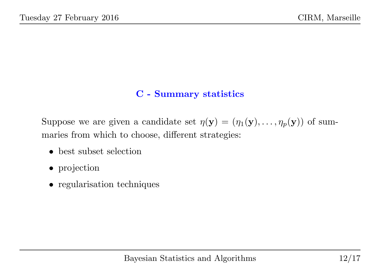## C - Summary statistics

Suppose we are given a candidate set  $\eta(\mathbf{y}) = (\eta_1(\mathbf{y}), \dots, \eta_p(\mathbf{y}))$  of summaries from which to choose, different strategies:

- best subset selection
- projection
- regularisation techniques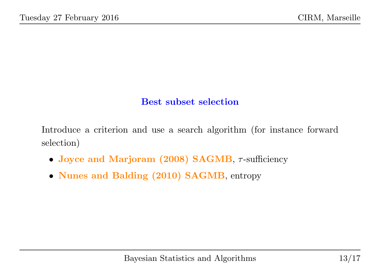### Best subset selection

Introduce a criterion and use a search algorithm (for instance forward selection)

- Joyce and Marjoram (2008) SAGMB,  $\tau$ -sufficiency
- Nunes and Balding (2010) SAGMB, entropy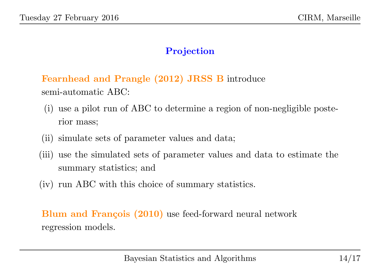### Projection

Fearnhead and Prangle (2012) JRSS B introduce semi-automatic ABC:

- (i) use a pilot run of ABC to determine a region of non-negligible posterior mass;
- (ii) simulate sets of parameter values and data;
- (iii) use the simulated sets of parameter values and data to estimate the summary statistics; and
- (iv) run ABC with this choice of summary statistics.

Blum and François (2010) use feed-forward neural network regression models.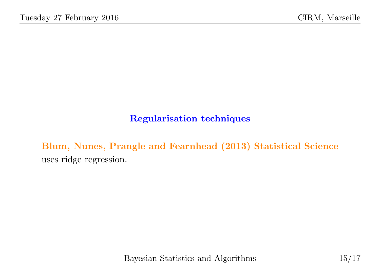## Regularisation techniques

Blum, Nunes, Prangle and Fearnhead (2013) Statistical Science uses ridge regression.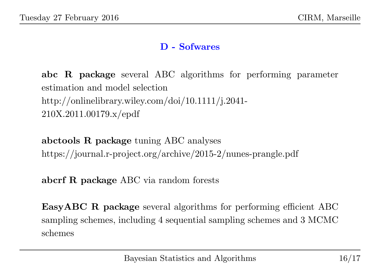#### D - Sofwares

abc R package several ABC algorithms for performing parameter estimation and model selection http://onlinelibrary.wiley.com/doi/10.1111/j.2041- 210X.2011.00179.x/epdf

abctools R package tuning ABC analyses https://journal.r-project.org/archive/2015-2/nunes-prangle.pdf

abcrf R package ABC via random forests

EasyABC R package several algorithms for performing efficient ABC sampling schemes, including 4 sequential sampling schemes and 3 MCMC schemes